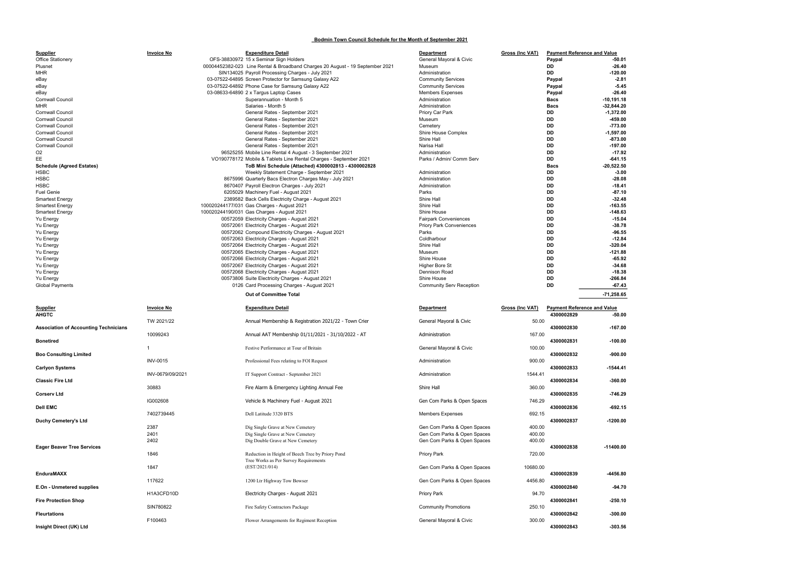## Bodmin Town Council Schedule for the Month of September 2021

| <u>Gross (Inc VAT)</u><br><b>Payment Reference and Value</b> |                       |                                    |  |  |  |
|--------------------------------------------------------------|-----------------------|------------------------------------|--|--|--|
| Paypal                                                       |                       | $-50.01$                           |  |  |  |
|                                                              | DD                    | $-26.40$                           |  |  |  |
|                                                              | DD                    | $-120.00$                          |  |  |  |
|                                                              | Paypal                | $-2.81$                            |  |  |  |
|                                                              | Paypal                | -5.45                              |  |  |  |
|                                                              | Paypal<br><b>Bacs</b> | $-26.40$<br>$-10, 191.18$          |  |  |  |
|                                                              | <b>Bacs</b>           | $-32,844.20$                       |  |  |  |
|                                                              | DD                    | $-1,372.00$                        |  |  |  |
|                                                              | DD                    | $-459.00$                          |  |  |  |
|                                                              | DD                    | -773.00                            |  |  |  |
|                                                              | DD                    | $-1,597.00$                        |  |  |  |
|                                                              | DD                    | $-873.00$                          |  |  |  |
|                                                              | DD<br>DD              | $-197.00$<br>-17.92                |  |  |  |
|                                                              | DD                    | $-641.15$                          |  |  |  |
|                                                              | Bacs                  | $-20,522.50$                       |  |  |  |
|                                                              | DD                    | $-3.00$                            |  |  |  |
|                                                              | DD                    | $-28.08$                           |  |  |  |
|                                                              | DD                    | -18.41                             |  |  |  |
|                                                              | DD                    | $-87.10$                           |  |  |  |
|                                                              | DD<br>DD              | $-32.48$<br>$-163.55$              |  |  |  |
|                                                              | DD                    | $-148.63$                          |  |  |  |
|                                                              | DD                    | $-15.04$                           |  |  |  |
|                                                              | DD                    | $-38.78$                           |  |  |  |
|                                                              | DD                    | $-96.55$                           |  |  |  |
|                                                              | DD                    | -12.84                             |  |  |  |
|                                                              | DD<br>DD              | $-320.04$                          |  |  |  |
|                                                              | DD                    | -121.88<br>$-65.92$                |  |  |  |
|                                                              | DD                    | $-34.68$                           |  |  |  |
|                                                              | DD                    | -18.38                             |  |  |  |
| DD                                                           |                       |                                    |  |  |  |
|                                                              |                       | $-266.84$                          |  |  |  |
|                                                              | DD                    | $-67.43$                           |  |  |  |
|                                                              |                       | -71,258.65                         |  |  |  |
|                                                              |                       |                                    |  |  |  |
| Gross (Inc VAT)                                              |                       | <b>Payment Reference and Value</b> |  |  |  |
|                                                              | 4300002829            | $-50.00$                           |  |  |  |
| 50.00                                                        |                       |                                    |  |  |  |
| 167.00                                                       | 4300002830            | $-167.00$                          |  |  |  |
|                                                              | 4300002831            | $-100.00$                          |  |  |  |
| 100.00                                                       |                       |                                    |  |  |  |
|                                                              | 4300002832            | $-900.00$                          |  |  |  |
| 900.00                                                       |                       |                                    |  |  |  |
|                                                              | 4300002833            | -1544.41                           |  |  |  |
| 1544.41                                                      | 4300002834            | $-360.00$                          |  |  |  |
| 360.00                                                       |                       |                                    |  |  |  |
|                                                              | 4300002835            | -746.29                            |  |  |  |
| 746.29                                                       |                       |                                    |  |  |  |
|                                                              | 4300002836            | $-692.15$                          |  |  |  |
| 692.15                                                       |                       |                                    |  |  |  |
|                                                              | 4300002837            | -1200.00                           |  |  |  |
| 400.00<br>400.00                                             |                       |                                    |  |  |  |
| 400.00                                                       |                       |                                    |  |  |  |
|                                                              | 4300002838            | $-11400.00$                        |  |  |  |
| 720.00                                                       |                       |                                    |  |  |  |
|                                                              |                       |                                    |  |  |  |
| 10680.00                                                     | 4300002839            | -4456.80                           |  |  |  |
| 4456.80                                                      |                       |                                    |  |  |  |
|                                                              | 4300002840            | $-94.70$                           |  |  |  |
| 94.70                                                        |                       |                                    |  |  |  |
| 250.10                                                       | 4300002841            | $-250.10$                          |  |  |  |

| <b>Supplier</b>                                    | <b>Invoice No</b> | <b>Expenditure Detail</b>                                                     | <b>Department</b>                 | Gross (Inc VAT) | <b>Payment Reference and Value</b>               |                      |
|----------------------------------------------------|-------------------|-------------------------------------------------------------------------------|-----------------------------------|-----------------|--------------------------------------------------|----------------------|
| <b>Office Stationery</b>                           |                   | OFS-38830972 15 x Seminar Sign Holders                                        | General Mayoral & Civic           |                 | Paypal                                           | -50.01               |
| Plusnet                                            |                   | 00004452382-023 Line Rental & Broadband Charges 20 August - 19 September 2021 | Museum                            |                 | DD                                               | $-26.40$             |
| <b>MHR</b>                                         |                   | SIN134025 Payroll Processing Charges - July 2021                              | Administration                    |                 | DD                                               | $-120.00$            |
| eBay                                               |                   | 03-07522-64895 Screen Protector for Samsung Galaxy A22                        | <b>Community Services</b>         |                 | Paypal                                           | $-2.81$              |
| eBay                                               |                   | 03-07522-64892 Phone Case for Samsung Galaxy A22                              | <b>Community Services</b>         |                 | Paypal                                           | $-5.45$              |
| eBay                                               |                   | 03-08633-64890 2 x Targus Laptop Cases                                        | <b>Members Expenses</b>           |                 | Paypal                                           | $-26.40$             |
| <b>Cornwall Council</b>                            |                   | Superannuation - Month 5                                                      | Administration                    |                 | <b>Bacs</b>                                      | $-10,191.18$         |
| MHR                                                |                   | Salaries - Month 5                                                            | Administration                    |                 | <b>Bacs</b>                                      | $-32,844.20$         |
| <b>Cornwall Council</b>                            |                   | General Rates - September 2021                                                | Priory Car Park                   |                 | DD                                               | $-1,372.00$          |
| <b>Cornwall Council</b><br><b>Cornwall Council</b> |                   | General Rates - September 2021                                                | Museum                            |                 | DD<br>DD                                         | -459.00<br>$-773.00$ |
| Cornwall Counci                                    |                   | General Rates - September 2021                                                | Cemetery                          |                 | DD                                               | $-1,597.00$          |
| <b>Cornwall Council</b>                            |                   | General Rates - September 2021<br>General Rates - September 2021              | Shire House Complex<br>Shire Hall |                 | DD                                               | $-873.00$            |
| <b>Cornwall Council</b>                            |                   | General Rates - September 2021                                                | Narisa Hall                       |                 | <b>DD</b>                                        | $-197.00$            |
| O <sub>2</sub>                                     |                   | 96525255 Mobile Line Rental 4 August - 3 September 2021                       | Administration                    |                 | DD                                               | $-17.92$             |
| ЕE                                                 |                   | VO190778172 Mobile & Tablets Line Rental Charges - September 2021             | Parks / Admin/ Comm Serv          |                 | <b>DD</b>                                        | $-641.15$            |
| <b>Schedule (Agreed Estates)</b>                   |                   | ToB Mini Schedule (Attached) 4300002813 - 4300002828                          |                                   |                 | <b>Bacs</b>                                      | $-20,522.50$         |
| HSBC                                               |                   | Weekly Statement Charge - September 2021                                      | Administration                    |                 | DD                                               | $-3.00$              |
| <b>HSBC</b>                                        |                   | 8675996 Quarterly Bacs Electron Charges May - July 2021                       | Administration                    |                 | DD                                               | $-28.08$             |
| <b>HSBC</b>                                        |                   | 8670407 Payroll Electron Charges - July 2021                                  | Administration                    |                 | DD                                               | $-18.41$             |
| <b>Fuel Genie</b>                                  |                   | 6205029 Machinery Fuel - August 2021                                          | Parks                             |                 | DD                                               | $-87.10$             |
| <b>Smartest Energy</b>                             |                   | 2389582 Back Cells Electricity Charge - August 2021                           | Shire Hall                        |                 | DD                                               | $-32.48$             |
| <b>Smartest Energy</b>                             |                   | 100020244177/031 Gas Charges - August 2021                                    | Shire Hall                        |                 | <b>DD</b>                                        | $-163.55$            |
| <b>Smartest Energy</b>                             |                   | 100020244190/031 Gas Charges - August 2021                                    | Shire House                       |                 | DD                                               | $-148.63$            |
| Yu Energy                                          |                   | 00572059 Electricity Charges - August 2021                                    | <b>Fairpark Conveniences</b>      |                 | DD                                               | $-15.04$             |
| Yu Energy                                          |                   | 00572061 Electricity Charges - August 2021                                    | <b>Priory Park Conveniences</b>   |                 | DD                                               | $-38.78$             |
| Yu Energy                                          |                   | 00572062 Compound Electricity Charges - August 2021                           | Parks                             |                 | <b>DD</b>                                        | $-96.55$             |
| Yu Energy                                          |                   | 00572063 Electricity Charges - August 2021                                    | Coldharbour                       |                 | DD                                               | $-12.84$             |
| <b>Yu Energy</b>                                   |                   | 00572064 Electricity Charges - August 2021                                    | Shire Hall                        |                 | DD                                               | $-320.04$            |
| Yu Energy                                          |                   | 00572065 Electricity Charges - August 2021                                    | Museum                            |                 | <b>DD</b>                                        | $-121.88$            |
| Yu Energy                                          |                   | 00572066 Electricity Charges - August 2021                                    | Shire House                       |                 | DD                                               | $-65.92$             |
| Yu Energy                                          |                   | 00572067 Electricity Charges - August 2021                                    | <b>Higher Bore St</b>             |                 | DD                                               | $-34.68$             |
| Yu Energy                                          |                   | 00572068 Electricity Charges - August 2021                                    | Dennison Road                     |                 | DD                                               | $-18.38$             |
| Yu Energy                                          |                   | 00573806 Suite Electricity Charges - August 2021                              | Shire House                       |                 | DD                                               | $-266.84$            |
| <b>Global Payments</b>                             |                   |                                                                               |                                   |                 | DD                                               |                      |
|                                                    |                   | 0126 Card Processing Charges - August 2021                                    | <b>Community Serv Reception</b>   |                 |                                                  | $-67.43$             |
|                                                    |                   | <b>Out of Committee Total</b>                                                 |                                   |                 |                                                  | $-71,258.65$         |
|                                                    |                   |                                                                               |                                   |                 |                                                  |                      |
| <b>Supplier</b><br><b>AHGTC</b>                    | <b>Invoice No</b> | <b>Expenditure Detail</b>                                                     | <b>Department</b>                 | Gross (Inc VAT) | <b>Payment Reference and Value</b><br>4300002829 | $-50.00$             |
|                                                    | TW 2021/22        | Annual Membership & Registration 2021/22 - Town Crier                         | General Mayoral & Civic           | 50.00           |                                                  |                      |
| <b>Association of Accounting Technicians</b>       |                   |                                                                               |                                   |                 | 4300002830                                       | $-167.00$            |
|                                                    | 10099243          | Annual AAT Membership 01/11/2021 - 31/10/2022 - AT                            | Administration                    | 167.00          |                                                  |                      |
| <b>Bonetired</b>                                   |                   |                                                                               |                                   |                 | 4300002831                                       | $-100.00$            |
|                                                    | $\mathbf{1}$      | Festive Performance at Tour of Britain                                        | General Mayoral & Civic           | 100.00          |                                                  |                      |
| <b>Boo Consulting Limited</b>                      |                   |                                                                               |                                   |                 | 4300002832                                       | $-900.00$            |
|                                                    | <b>INV-0015</b>   | Professional Fees relating to FOI Request                                     | Administration                    | 900.00          |                                                  |                      |
| <b>Carlyon Systems</b>                             |                   |                                                                               |                                   |                 | 4300002833                                       | -1544.41             |
|                                                    | INV-0679/09/2021  | IT Support Contract - September 2021                                          | Administration                    | 1544.41         |                                                  |                      |
| <b>Classic Fire Ltd</b>                            |                   |                                                                               |                                   |                 | 4300002834                                       | $-360.00$            |
|                                                    | 30883             | Fire Alarm & Emergency Lighting Annual Fee                                    | Shire Hall                        | 360.00          |                                                  |                      |
| <b>Corserv Ltd</b>                                 |                   |                                                                               |                                   |                 | 4300002835                                       | $-746.29$            |
|                                                    | IG002608          | Vehicle & Machinery Fuel - August 2021                                        | Gen Com Parks & Open Spaces       | 746.29          |                                                  |                      |
| <b>Dell EMC</b>                                    |                   |                                                                               |                                   |                 | 4300002836                                       | $-692.15$            |
|                                                    | 7402739445        | Dell Latitude 3320 BTS                                                        | <b>Members Expenses</b>           | 692.15          |                                                  |                      |
| <b>Duchy Cemetery's Ltd</b>                        |                   |                                                                               |                                   |                 | 4300002837                                       | $-1200.00$           |
|                                                    | 2387              | Dig Single Grave at New Cemetery                                              | Gen Com Parks & Open Spaces       | 400.00          |                                                  |                      |
|                                                    | 2401              | Dig Single Grave at New Cemetery                                              | Gen Com Parks & Open Spaces       | 400.00          |                                                  |                      |
|                                                    | 2402              | Dig Double Grave at New Cemetery                                              | Gen Com Parks & Open Spaces       | 400.00          |                                                  |                      |
| <b>Eager Beaver Tree Services</b>                  |                   |                                                                               |                                   |                 | 4300002838                                       | $-11400.00$          |
|                                                    | 1846              | Reduction in Height of Beech Tree by Priory Pond                              | Priory Park                       | 720.00          |                                                  |                      |
|                                                    |                   | Tree Works as Per Survey Requirements                                         |                                   |                 |                                                  |                      |
|                                                    | 1847              | (EST/2021/014)                                                                | Gen Com Parks & Open Spaces       | 10680.00        |                                                  |                      |
| <b>EnduraMAXX</b>                                  |                   |                                                                               |                                   |                 | 4300002839                                       | -4456.80             |
|                                                    | 117622            | 1200 Ltr Highway Tow Bowser                                                   | Gen Com Parks & Open Spaces       | 4456.80         | 4300002840                                       | -94.70               |
| E.On - Unmetered supplies                          | H1A3CFD10D        | Electricity Charges - August 2021                                             | Priory Park                       | 94.70           |                                                  |                      |
| <b>Fire Protection Shop</b>                        |                   |                                                                               |                                   |                 | 4300002841                                       | $-250.10$            |
|                                                    | SIN780822         | Fire Safety Contractors Package                                               | <b>Community Promotions</b>       | 250.10          |                                                  |                      |
| <b>Fleurtations</b>                                | F100463           |                                                                               | General Mayoral & Civic           |                 | 4300002842                                       | $-300.00$            |

| <b>Supplier</b><br><b>AHGTC</b>              | <b>Invoice No</b> | <b>Expenditure Detail</b>                             | <b>Department</b>           | Gross (Inc VAT) | <b>Payment Reference and Value</b><br>4300002829 | $-50.00$    |
|----------------------------------------------|-------------------|-------------------------------------------------------|-----------------------------|-----------------|--------------------------------------------------|-------------|
|                                              | TW 2021/22        | Annual Membership & Registration 2021/22 - Town Crier | General Mayoral & Civic     | 50.00           |                                                  |             |
| <b>Association of Accounting Technicians</b> | 10099243          | Annual AAT Membership 01/11/2021 - 31/10/2022 - AT    | Administration              | 167.00          | 4300002830                                       | $-167.00$   |
| <b>Bonetired</b>                             |                   |                                                       |                             |                 | 4300002831                                       | $-100.00$   |
|                                              |                   | Festive Performance at Tour of Britain                | General Mayoral & Civic     | 100.00          | 4300002832                                       | $-900.00$   |
| <b>Boo Consulting Limited</b>                | <b>INV-0015</b>   | Professional Fees relating to FOI Request             | Administration              | 900.00          |                                                  |             |
| <b>Carlyon Systems</b>                       |                   |                                                       |                             |                 | 4300002833                                       | $-1544.41$  |
| <b>Classic Fire Ltd</b>                      | INV-0679/09/2021  | IT Support Contract - September 2021                  | Administration              | 1544.41         | 4300002834                                       | $-360.00$   |
|                                              | 30883             | Fire Alarm & Emergency Lighting Annual Fee            | Shire Hall                  | 360.00          |                                                  |             |
| Corserv Ltd                                  | IG002608          | Vehicle & Machinery Fuel - August 2021                | Gen Com Parks & Open Spaces | 746.29          | 4300002835                                       | $-746.29$   |
| <b>Dell EMC</b>                              |                   |                                                       |                             |                 | 4300002836                                       | $-692.15$   |
|                                              | 7402739445        | Dell Latitude 3320 BTS                                | <b>Members Expenses</b>     | 692.15          |                                                  |             |
| Duchy Cemetery's Ltd                         |                   |                                                       |                             |                 | 4300002837                                       | $-1200.00$  |
|                                              | 2387              | Dig Single Grave at New Cemetery                      | Gen Com Parks & Open Spaces | 400.00          |                                                  |             |
|                                              | 2401              | Dig Single Grave at New Cemetery                      | Gen Com Parks & Open Spaces | 400.00          |                                                  |             |
|                                              | 2402              | Dig Double Grave at New Cemetery                      | Gen Com Parks & Open Spaces | 400.00          |                                                  |             |
| <b>Eager Beaver Tree Services</b>            |                   |                                                       |                             |                 | 4300002838                                       | $-11400.00$ |
|                                              | 1846              | Reduction in Height of Beech Tree by Priory Pond      | <b>Priory Park</b>          | 720.00          |                                                  |             |
|                                              | 1847              | Tree Works as Per Survey Requirements                 |                             |                 |                                                  |             |
|                                              |                   | (EST/2021/014)                                        | Gen Com Parks & Open Spaces | 10680.00        |                                                  |             |
| <b>EnduraMAXX</b>                            |                   |                                                       |                             |                 | 4300002839                                       | $-4456.80$  |
|                                              | 117622            | 1200 Ltr Highway Tow Bowser                           | Gen Com Parks & Open Spaces | 4456.80         |                                                  |             |
| E.On - Unmetered supplies                    | H1A3CFD10D        |                                                       |                             | 94.70           | 4300002840                                       | $-94.70$    |
|                                              |                   | Electricity Charges - August 2021                     | Priory Park                 |                 |                                                  |             |
| <b>Fire Protection Shop</b>                  |                   |                                                       |                             |                 | 4300002841                                       | $-250.10$   |
|                                              | SIN780822         | Fire Safety Contractors Package                       | <b>Community Promotions</b> | 250.10          | 4300002842                                       | $-300.00$   |
| <b>Fleurtations</b>                          | F100463           |                                                       |                             |                 |                                                  |             |
|                                              |                   | Flower Arrangements for Regiment Reception            | General Mayoral & Civic     | 300.00          |                                                  |             |
| Insight Direct (UK) Ltd                      |                   |                                                       |                             |                 | 4300002843                                       | $-303.56$   |